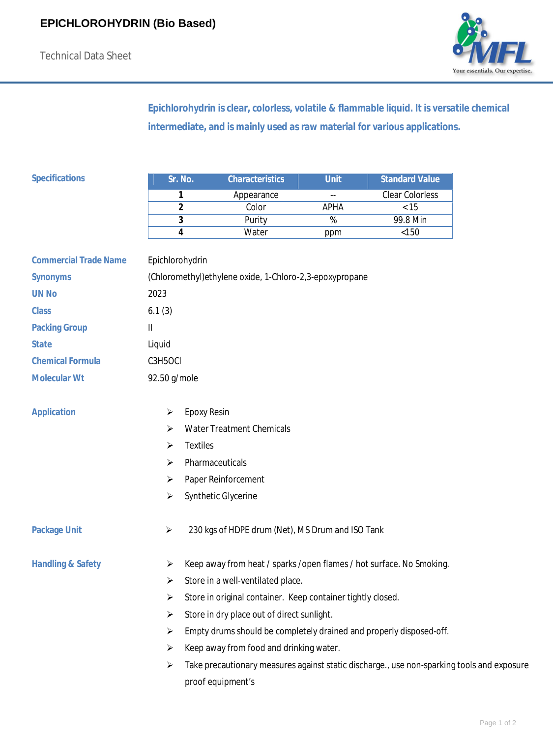

**Epichlorohydrin is clear, colorless, volatile & flammable liquid. It is versatile chemical intermediate, and is mainly used as raw material for various applications.**

| <b>Specifications</b>        | Sr. No.                                                  | <b>Characteristics</b>                                                                     | <b>Unit</b>     | <b>Standard Value</b> |
|------------------------------|----------------------------------------------------------|--------------------------------------------------------------------------------------------|-----------------|-----------------------|
|                              | 1                                                        | Appearance                                                                                 |                 | Clear Colorless       |
|                              | 2                                                        | Color                                                                                      | <b>APHA</b>     | $\overline{5}$        |
|                              | 3                                                        | Purity                                                                                     | $\overline{\%}$ | 99.8 Min              |
|                              | 4                                                        | Water                                                                                      | ppm             | $<150$                |
| <b>Commercial Trade Name</b> | Epichlorohydrin                                          |                                                                                            |                 |                       |
| <b>Synonyms</b>              | (Chloromethyl) ethylene oxide, 1-Chloro-2,3-epoxypropane |                                                                                            |                 |                       |
| <b>UN No</b>                 | 2023                                                     |                                                                                            |                 |                       |
| <b>Class</b>                 | 6.1(3)                                                   |                                                                                            |                 |                       |
| <b>Packing Group</b>         | $\mathbf{H}$                                             |                                                                                            |                 |                       |
| <b>State</b>                 | Liquid                                                   |                                                                                            |                 |                       |
| <b>Chemical Formula</b>      | C3H5OCI                                                  |                                                                                            |                 |                       |
| <b>Molecular Wt</b>          | 92.50 g/mole                                             |                                                                                            |                 |                       |
| <b>Application</b>           | ➤                                                        | <b>Epoxy Resin</b>                                                                         |                 |                       |
|                              | ⋗                                                        | <b>Water Treatment Chemicals</b>                                                           |                 |                       |
|                              | ⋗                                                        | <b>Textiles</b>                                                                            |                 |                       |
|                              | ⋗                                                        | Pharmaceuticals                                                                            |                 |                       |
|                              | ➤                                                        | Paper Reinforcement                                                                        |                 |                       |
|                              | ➤                                                        | Synthetic Glycerine                                                                        |                 |                       |
| <b>Package Unit</b>          | ➤                                                        | 230 kgs of HDPE drum (Net), MS Drum and ISO Tank                                           |                 |                       |
| <b>Handling &amp; Safety</b> | ➤                                                        | Keep away from heat / sparks / open flames / hot surface. No Smoking.                      |                 |                       |
|                              | Store in a well-ventilated place.<br>➤                   |                                                                                            |                 |                       |
|                              | ➤                                                        | Store in original container. Keep container tightly closed.                                |                 |                       |
|                              | ➤                                                        | Store in dry place out of direct sunlight.                                                 |                 |                       |
|                              | ➤                                                        | Empty drums should be completely drained and properly disposed-off.                        |                 |                       |
|                              | ➤                                                        | Keep away from food and drinking water.                                                    |                 |                       |
|                              | ➤                                                        | Take precautionary measures against static discharge., use non-sparking tools and exposure |                 |                       |

proof equipment's